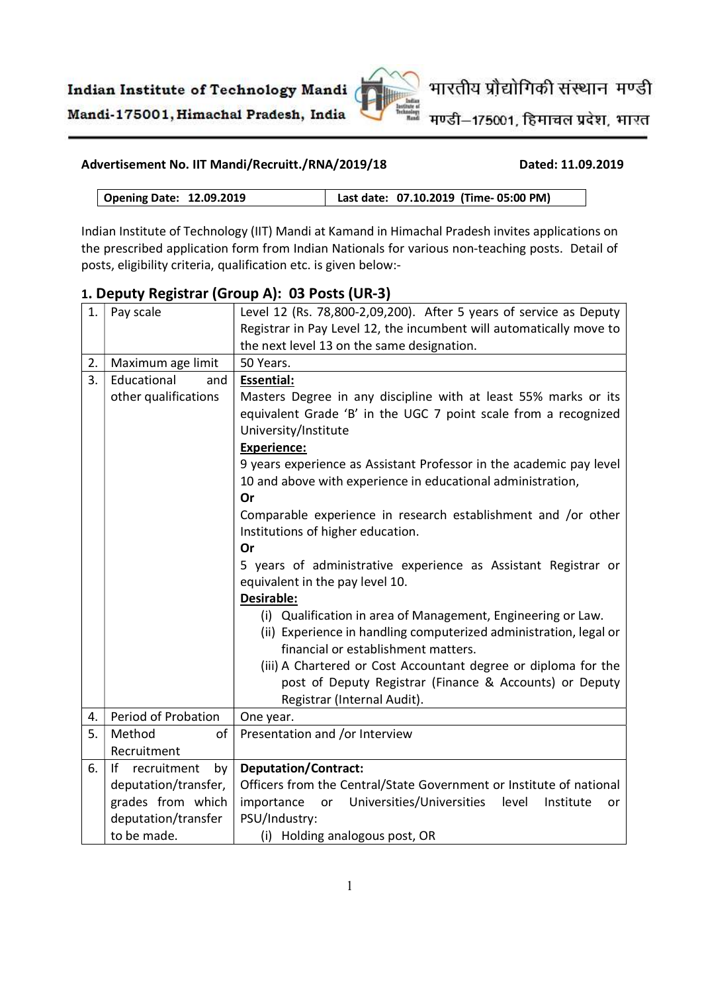

मण्डी-175001, हिमाचल प्रदेश, भारत

#### Advertisement No. IIT Mandi/Recruitt./RNA/2019/18 Dated: 11.09.2019

Opening Date: 12.09.2019 Last date: 07.10.2019 (Time- 05:00 PM)

Indian Institute of Technology (IIT) Mandi at Kamand in Himachal Pradesh invites applications on the prescribed application form from Indian Nationals for various non-teaching posts. Detail of posts, eligibility criteria, qualification etc. is given below:-

| 1. | Pay scale               | Level 12 (Rs. 78,800-2,09,200). After 5 years of service as Deputy        |
|----|-------------------------|---------------------------------------------------------------------------|
|    |                         | Registrar in Pay Level 12, the incumbent will automatically move to       |
|    |                         | the next level 13 on the same designation.                                |
| 2. | Maximum age limit       | 50 Years.                                                                 |
| 3. | Educational<br>and      | <b>Essential:</b>                                                         |
|    | other qualifications    | Masters Degree in any discipline with at least 55% marks or its           |
|    |                         | equivalent Grade 'B' in the UGC 7 point scale from a recognized           |
|    |                         | University/Institute                                                      |
|    |                         | <b>Experience:</b>                                                        |
|    |                         | 9 years experience as Assistant Professor in the academic pay level       |
|    |                         | 10 and above with experience in educational administration,               |
|    |                         | Or                                                                        |
|    |                         | Comparable experience in research establishment and /or other             |
|    |                         | Institutions of higher education.                                         |
|    |                         | Or                                                                        |
|    |                         | 5 years of administrative experience as Assistant Registrar or            |
|    |                         | equivalent in the pay level 10.                                           |
|    |                         | <b>Desirable:</b>                                                         |
|    |                         | (i) Qualification in area of Management, Engineering or Law.              |
|    |                         | (ii) Experience in handling computerized administration, legal or         |
|    |                         | financial or establishment matters.                                       |
|    |                         | (iii) A Chartered or Cost Accountant degree or diploma for the            |
|    |                         | post of Deputy Registrar (Finance & Accounts) or Deputy                   |
|    |                         | Registrar (Internal Audit).                                               |
| 4. | Period of Probation     | One year.                                                                 |
| 5. | Method<br>of            | Presentation and /or Interview                                            |
|    | Recruitment             |                                                                           |
| 6. | If<br>recruitment<br>by | <b>Deputation/Contract:</b>                                               |
|    | deputation/transfer,    | Officers from the Central/State Government or Institute of national       |
|    | grades from which       | importance<br>Universities/Universities<br>level<br>Institute<br>or<br>or |
|    | deputation/transfer     | PSU/Industry:                                                             |
|    | to be made.             | (i) Holding analogous post, OR                                            |

### 1. Deputy Registrar (Group A): 03 Posts (UR-3)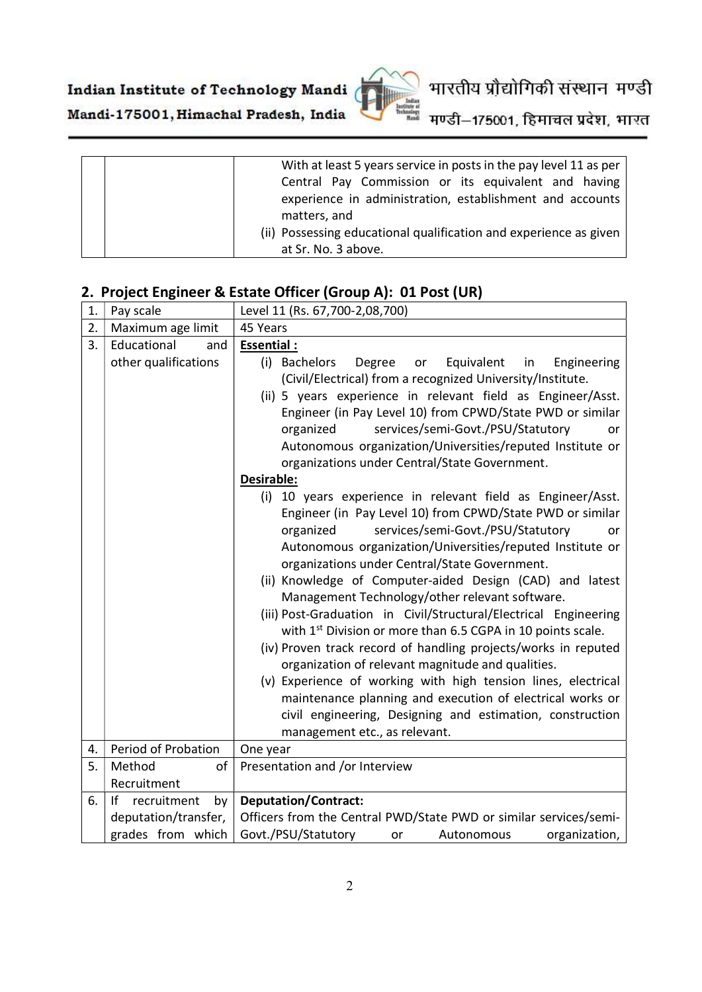

# भारतीय प्रौद्योगिकी संस्थान मण्डी

Mandi-175001, Himachal Pradesh, India मण्डी–175001, हिमाचल प्रदेश, भारत

| With at least 5 years service in posts in the pay level 11 as per |
|-------------------------------------------------------------------|
| Central Pay Commission or its equivalent and having               |
| experience in administration, establishment and accounts          |
| matters, and                                                      |
| (ii) Possessing educational qualification and experience as given |
| at Sr. No. 3 above.                                               |

### 2. Project Engineer & Estate Officer (Group A): 01 Post (UR)

| 1. | Pay scale                   | Level 11 (Rs. 67,700-2,08,700)                                                                                                                                                                                                                                                                                                                                                                                                                                                                                                                                                                                                                                                                                                                                                                                                                                                                                                                                                                                                                                                                                                                                                                                                                                                                                                                                   |
|----|-----------------------------|------------------------------------------------------------------------------------------------------------------------------------------------------------------------------------------------------------------------------------------------------------------------------------------------------------------------------------------------------------------------------------------------------------------------------------------------------------------------------------------------------------------------------------------------------------------------------------------------------------------------------------------------------------------------------------------------------------------------------------------------------------------------------------------------------------------------------------------------------------------------------------------------------------------------------------------------------------------------------------------------------------------------------------------------------------------------------------------------------------------------------------------------------------------------------------------------------------------------------------------------------------------------------------------------------------------------------------------------------------------|
| 2. | Maximum age limit           | 45 Years                                                                                                                                                                                                                                                                                                                                                                                                                                                                                                                                                                                                                                                                                                                                                                                                                                                                                                                                                                                                                                                                                                                                                                                                                                                                                                                                                         |
| 3. | Educational<br>and          | <b>Essential:</b>                                                                                                                                                                                                                                                                                                                                                                                                                                                                                                                                                                                                                                                                                                                                                                                                                                                                                                                                                                                                                                                                                                                                                                                                                                                                                                                                                |
|    | other qualifications        | (i) Bachelors<br>Equivalent<br>Engineering<br>Degree<br>or<br>in<br>(Civil/Electrical) from a recognized University/Institute.<br>(ii) 5 years experience in relevant field as Engineer/Asst.<br>Engineer (in Pay Level 10) from CPWD/State PWD or similar<br>services/semi-Govt./PSU/Statutory<br>organized<br>or<br>Autonomous organization/Universities/reputed Institute or<br>organizations under Central/State Government.<br>Desirable:<br>(i) 10 years experience in relevant field as Engineer/Asst.<br>Engineer (in Pay Level 10) from CPWD/State PWD or similar<br>services/semi-Govt./PSU/Statutory<br>organized<br>or<br>Autonomous organization/Universities/reputed Institute or<br>organizations under Central/State Government.<br>(ii) Knowledge of Computer-aided Design (CAD) and latest<br>Management Technology/other relevant software.<br>(iii) Post-Graduation in Civil/Structural/Electrical Engineering<br>with 1 <sup>st</sup> Division or more than 6.5 CGPA in 10 points scale.<br>(iv) Proven track record of handling projects/works in reputed<br>organization of relevant magnitude and qualities.<br>(v) Experience of working with high tension lines, electrical<br>maintenance planning and execution of electrical works or<br>civil engineering, Designing and estimation, construction<br>management etc., as relevant. |
| 4. | Period of Probation         | One year                                                                                                                                                                                                                                                                                                                                                                                                                                                                                                                                                                                                                                                                                                                                                                                                                                                                                                                                                                                                                                                                                                                                                                                                                                                                                                                                                         |
| 5. | Method<br>of<br>Recruitment | Presentation and /or Interview                                                                                                                                                                                                                                                                                                                                                                                                                                                                                                                                                                                                                                                                                                                                                                                                                                                                                                                                                                                                                                                                                                                                                                                                                                                                                                                                   |
| 6. | If recruitment<br>by        | <b>Deputation/Contract:</b>                                                                                                                                                                                                                                                                                                                                                                                                                                                                                                                                                                                                                                                                                                                                                                                                                                                                                                                                                                                                                                                                                                                                                                                                                                                                                                                                      |
|    | deputation/transfer,        | Officers from the Central PWD/State PWD or similar services/semi-                                                                                                                                                                                                                                                                                                                                                                                                                                                                                                                                                                                                                                                                                                                                                                                                                                                                                                                                                                                                                                                                                                                                                                                                                                                                                                |
|    | grades from which           | Govt./PSU/Statutory<br>Autonomous<br>organization,<br>or                                                                                                                                                                                                                                                                                                                                                                                                                                                                                                                                                                                                                                                                                                                                                                                                                                                                                                                                                                                                                                                                                                                                                                                                                                                                                                         |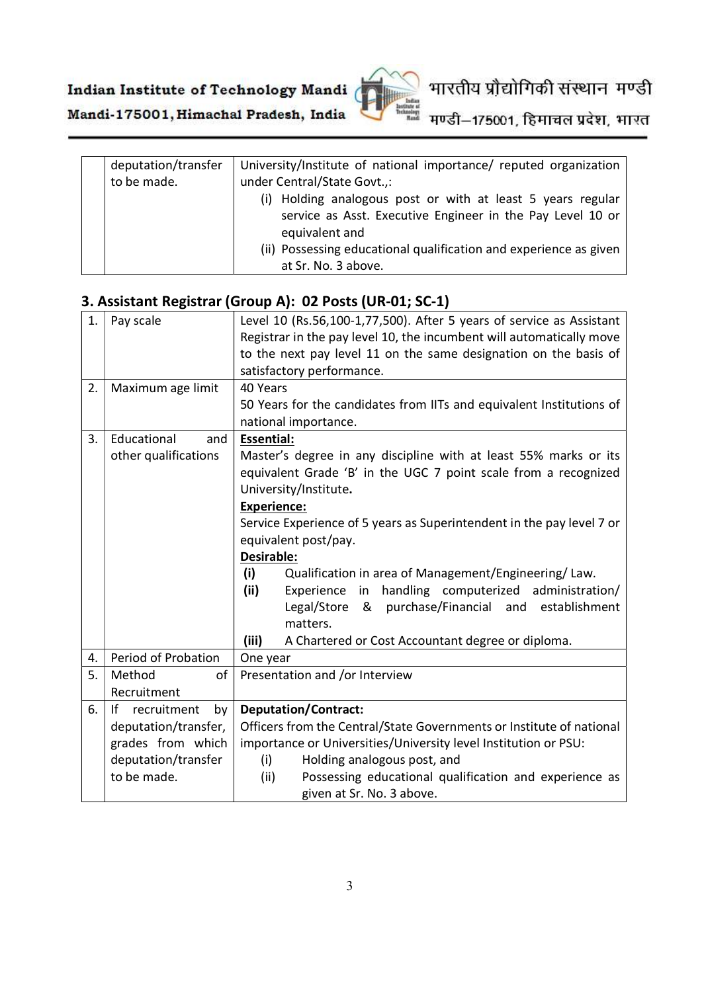

भारतीय प्रौद्योगिकी संस्थान मण्डी

Mandi-175001, Himachal Pradesh, India मण्डी–175001, हिमाचल प्रदेश, भारत

| deputation/transfer | University/Institute of national importance/ reputed organization |
|---------------------|-------------------------------------------------------------------|
| to be made.         | under Central/State Govt.,:                                       |
|                     | (i) Holding analogous post or with at least 5 years regular       |
|                     | service as Asst. Executive Engineer in the Pay Level 10 or        |
|                     | equivalent and                                                    |
|                     | (ii) Possessing educational qualification and experience as given |
|                     | at Sr. No. 3 above.                                               |

#### 3. Assistant Registrar (Group A): 02 Posts (UR-01; SC-1)

| 1. | Pay scale               | Level 10 (Rs.56,100-1,77,500). After 5 years of service as Assistant  |
|----|-------------------------|-----------------------------------------------------------------------|
|    |                         |                                                                       |
|    |                         | Registrar in the pay level 10, the incumbent will automatically move  |
|    |                         | to the next pay level 11 on the same designation on the basis of      |
|    |                         | satisfactory performance.                                             |
| 2. | Maximum age limit       | 40 Years                                                              |
|    |                         | 50 Years for the candidates from IITs and equivalent Institutions of  |
|    |                         | national importance.                                                  |
| 3. | Educational<br>and      | <b>Essential:</b>                                                     |
|    | other qualifications    | Master's degree in any discipline with at least 55% marks or its      |
|    |                         | equivalent Grade 'B' in the UGC 7 point scale from a recognized       |
|    |                         | University/Institute.                                                 |
|    |                         | <b>Experience:</b>                                                    |
|    |                         | Service Experience of 5 years as Superintendent in the pay level 7 or |
|    |                         | equivalent post/pay.                                                  |
|    |                         | Desirable:                                                            |
|    |                         |                                                                       |
|    |                         | (i)<br>Qualification in area of Management/Engineering/Law.           |
|    |                         | handling computerized administration/<br>(ii)<br>Experience in        |
|    |                         | purchase/Financial and establishment<br>Legal/Store<br>&              |
|    |                         | matters.                                                              |
|    |                         | (iii)<br>A Chartered or Cost Accountant degree or diploma.            |
| 4. | Period of Probation     | One year                                                              |
| 5. | Method<br>$\mathsf{of}$ | Presentation and /or Interview                                        |
|    | Recruitment             |                                                                       |
| 6. | If recruitment<br>by    | <b>Deputation/Contract:</b>                                           |
|    | deputation/transfer,    | Officers from the Central/State Governments or Institute of national  |
|    | grades from which       | importance or Universities/University level Institution or PSU:       |
|    | deputation/transfer     | Holding analogous post, and<br>(i)                                    |
|    | to be made.             | Possessing educational qualification and experience as<br>(ii)        |
|    |                         | given at Sr. No. 3 above.                                             |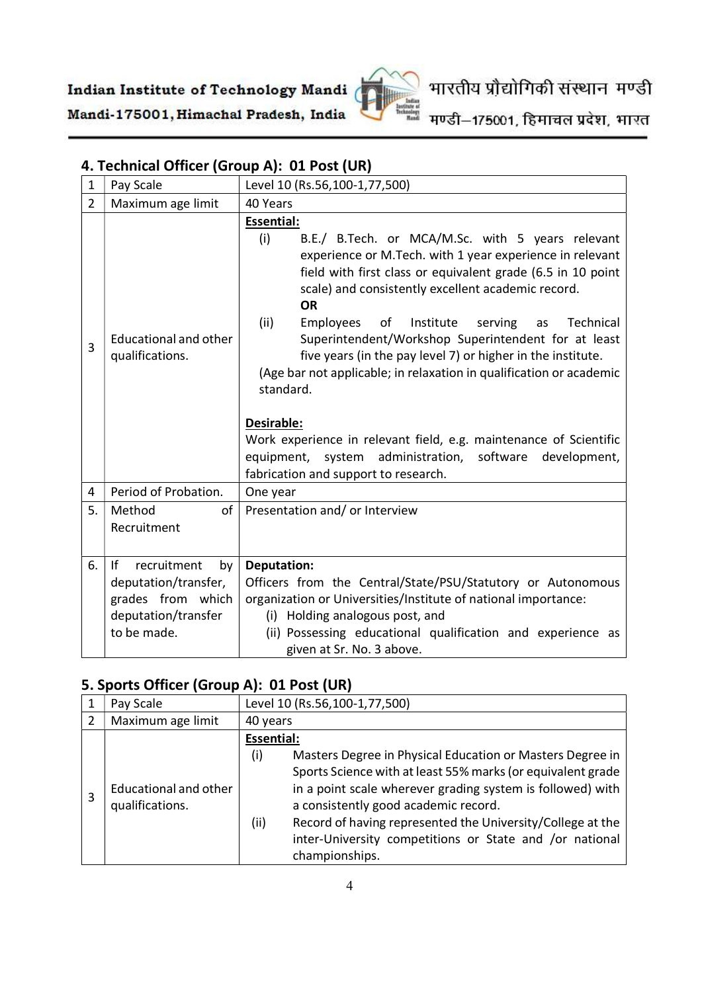

मण्डी–175001, हिमाचल प्रदेश, भारत

| $\mathbf{1}$   | Pay Scale                                                                                                  | Level 10 (Rs.56,100-1,77,500)                                                                                                                                                                                                                                                                                                                                                                                                                                                                                                                                                                                                                                                                                                                        |
|----------------|------------------------------------------------------------------------------------------------------------|------------------------------------------------------------------------------------------------------------------------------------------------------------------------------------------------------------------------------------------------------------------------------------------------------------------------------------------------------------------------------------------------------------------------------------------------------------------------------------------------------------------------------------------------------------------------------------------------------------------------------------------------------------------------------------------------------------------------------------------------------|
| $\overline{2}$ | Maximum age limit                                                                                          | 40 Years                                                                                                                                                                                                                                                                                                                                                                                                                                                                                                                                                                                                                                                                                                                                             |
| $\overline{3}$ | <b>Educational and other</b><br>qualifications.                                                            | <b>Essential:</b><br>(i)<br>B.E./ B.Tech. or MCA/M.Sc. with 5 years relevant<br>experience or M. Tech. with 1 year experience in relevant<br>field with first class or equivalent grade (6.5 in 10 point<br>scale) and consistently excellent academic record.<br><b>OR</b><br>(ii)<br>of<br>Technical<br>Employees<br>Institute<br>serving<br>as<br>Superintendent/Workshop Superintendent for at least<br>five years (in the pay level 7) or higher in the institute.<br>(Age bar not applicable; in relaxation in qualification or academic<br>standard.<br>Desirable:<br>Work experience in relevant field, e.g. maintenance of Scientific<br>equipment, system administration, software<br>development,<br>fabrication and support to research. |
| 4              | Period of Probation.                                                                                       | One year                                                                                                                                                                                                                                                                                                                                                                                                                                                                                                                                                                                                                                                                                                                                             |
| 5.             | Method<br>of<br>Recruitment                                                                                | Presentation and/ or Interview                                                                                                                                                                                                                                                                                                                                                                                                                                                                                                                                                                                                                                                                                                                       |
| 6.             | f <br>recruitment<br>by<br>deputation/transfer,<br>grades from which<br>deputation/transfer<br>to be made. | <b>Deputation:</b><br>Officers from the Central/State/PSU/Statutory or Autonomous<br>organization or Universities/Institute of national importance:<br>Holding analogous post, and<br>(i)<br>(ii) Possessing educational qualification and experience as<br>given at Sr. No. 3 above.                                                                                                                                                                                                                                                                                                                                                                                                                                                                |

### 4. Technical Officer (Group A): 01 Post (UR)

### 5. Sports Officer (Group A): 01 Post (UR)

|   | Pay Scale                    | Level 10 (Rs.56,100-1,77,500)                                      |
|---|------------------------------|--------------------------------------------------------------------|
|   | Maximum age limit            | 40 years                                                           |
|   |                              | <b>Essential:</b>                                                  |
|   |                              | (i)<br>Masters Degree in Physical Education or Masters Degree in   |
|   |                              | Sports Science with at least 55% marks (or equivalent grade        |
| 3 | <b>Educational and other</b> | in a point scale wherever grading system is followed) with         |
|   | qualifications.              | a consistently good academic record.                               |
|   |                              | Record of having represented the University/College at the<br>(ii) |
|   |                              | inter-University competitions or State and /or national            |
|   |                              | championships.                                                     |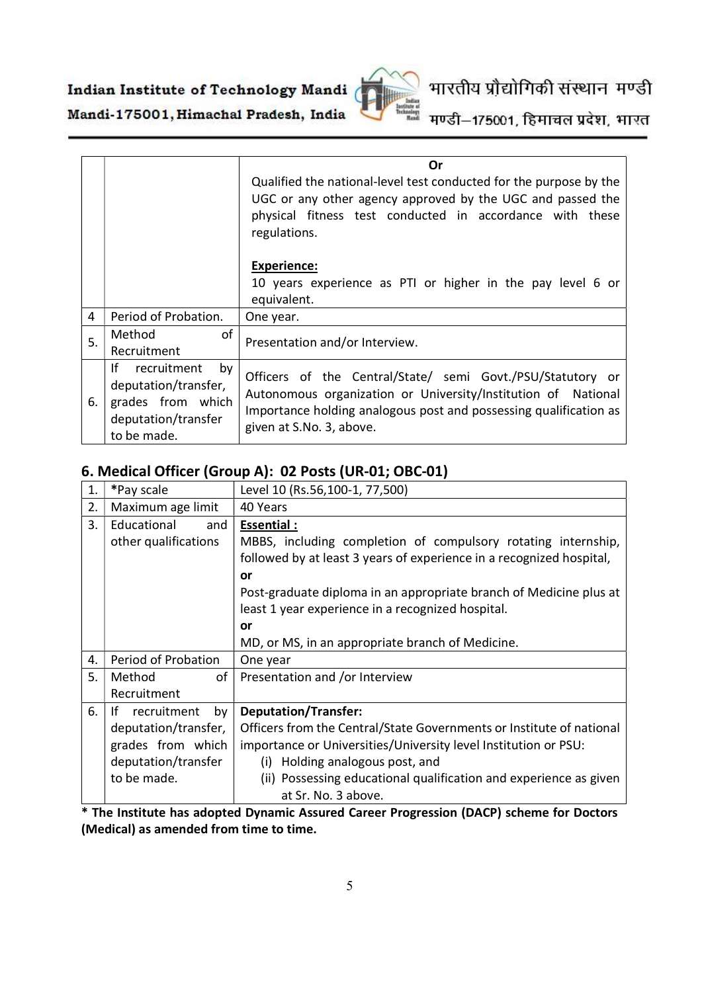

# भारतीय प्रौद्योगिकी संस्थान मण्डी

मण्डी–175001, हिमाचल प्रदेश, भारत

|                |                                                                                                             | Or                                                                                                                                                                                                                           |
|----------------|-------------------------------------------------------------------------------------------------------------|------------------------------------------------------------------------------------------------------------------------------------------------------------------------------------------------------------------------------|
|                |                                                                                                             | Qualified the national-level test conducted for the purpose by the<br>UGC or any other agency approved by the UGC and passed the<br>physical fitness test conducted in accordance with these<br>regulations.                 |
|                |                                                                                                             | <b>Experience:</b><br>10 years experience as PTI or higher in the pay level 6 or<br>equivalent.                                                                                                                              |
| $\overline{a}$ | Period of Probation.                                                                                        | One year.                                                                                                                                                                                                                    |
| 5.             | of<br>Method<br>Recruitment                                                                                 | Presentation and/or Interview.                                                                                                                                                                                               |
| 6.             | lf.<br>recruitment<br>by<br>deputation/transfer,<br>grades from which<br>deputation/transfer<br>to be made. | Officers of the Central/State/ semi Govt./PSU/Statutory or<br>Autonomous organization or University/Institution of National<br>Importance holding analogous post and possessing qualification as<br>given at S.No. 3, above. |

#### 6. Medical Officer (Group A): 02 Posts (UR-01; OBC-01)

| 1. | *Pay scale              | Level 10 (Rs.56,100-1, 77,500)                                       |
|----|-------------------------|----------------------------------------------------------------------|
| 2. | Maximum age limit       | 40 Years                                                             |
| 3. | Educational<br>and      | Essential :                                                          |
|    | other qualifications    | MBBS, including completion of compulsory rotating internship,        |
|    |                         | followed by at least 3 years of experience in a recognized hospital, |
|    |                         | or                                                                   |
|    |                         | Post-graduate diploma in an appropriate branch of Medicine plus at   |
|    |                         | least 1 year experience in a recognized hospital.                    |
|    |                         | or                                                                   |
|    |                         | MD, or MS, in an appropriate branch of Medicine.                     |
| 4. | Period of Probation     | One year                                                             |
| 5. | Method<br>of            | Presentation and /or Interview                                       |
|    | Recruitment             |                                                                      |
| 6. | Ιf<br>recruitment<br>by | <b>Deputation/Transfer:</b>                                          |
|    | deputation/transfer,    | Officers from the Central/State Governments or Institute of national |
|    | grades from which       | importance or Universities/University level Institution or PSU:      |
|    | deputation/transfer     | Holding analogous post, and<br>(i)                                   |
|    | to be made.             | (ii) Possessing educational qualification and experience as given    |
|    |                         | at Sr. No. 3 above.                                                  |

\* The Institute has adopted Dynamic Assured Career Progression (DACP) scheme for Doctors (Medical) as amended from time to time.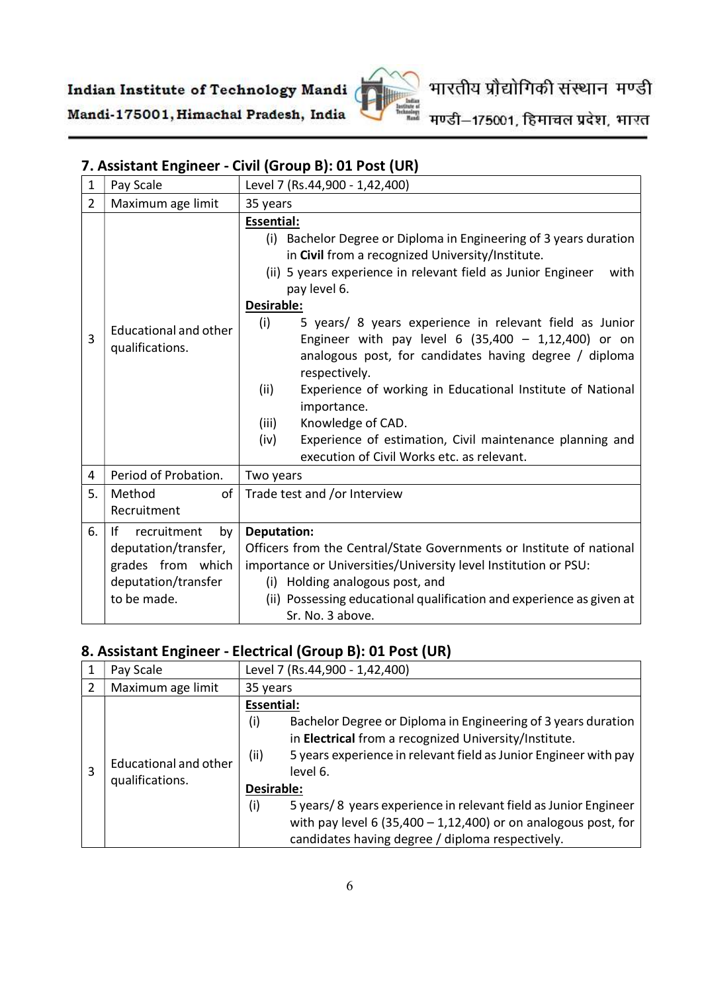

मण्डी–175001, हिमाचल प्रदेश, भारत

### 7. Assistant Engineer - Civil (Group B): 01 Post (UR)

| $\mathbf{1}$   | Pay Scale                                                                                                  | Level 7 (Rs.44,900 - 1,42,400)                                                                                                                                                                                                                                                                                                                                                                                                                                                                                                                                                                                                                                                              |
|----------------|------------------------------------------------------------------------------------------------------------|---------------------------------------------------------------------------------------------------------------------------------------------------------------------------------------------------------------------------------------------------------------------------------------------------------------------------------------------------------------------------------------------------------------------------------------------------------------------------------------------------------------------------------------------------------------------------------------------------------------------------------------------------------------------------------------------|
| $\overline{2}$ | Maximum age limit                                                                                          | 35 years                                                                                                                                                                                                                                                                                                                                                                                                                                                                                                                                                                                                                                                                                    |
| 3              | Educational and other<br>qualifications.                                                                   | <b>Essential:</b><br>(i) Bachelor Degree or Diploma in Engineering of 3 years duration<br>in Civil from a recognized University/Institute.<br>(ii) 5 years experience in relevant field as Junior Engineer<br>with<br>pay level 6.<br>Desirable:<br>5 years/ 8 years experience in relevant field as Junior<br>(i)<br>Engineer with pay level 6 $(35,400 - 1,12,400)$ or on<br>analogous post, for candidates having degree / diploma<br>respectively.<br>(ii)<br>Experience of working in Educational Institute of National<br>importance.<br>(iii)<br>Knowledge of CAD.<br>Experience of estimation, Civil maintenance planning and<br>(iv)<br>execution of Civil Works etc. as relevant. |
| 4              | Period of Probation.                                                                                       | Two years                                                                                                                                                                                                                                                                                                                                                                                                                                                                                                                                                                                                                                                                                   |
| 5.             | Method<br>of<br>Recruitment                                                                                | Trade test and /or Interview                                                                                                                                                                                                                                                                                                                                                                                                                                                                                                                                                                                                                                                                |
| 6.             | lf<br>recruitment<br>by<br>deputation/transfer,<br>grades from which<br>deputation/transfer<br>to be made. | <b>Deputation:</b><br>Officers from the Central/State Governments or Institute of national<br>importance or Universities/University level Institution or PSU:<br>(i) Holding analogous post, and<br>(ii) Possessing educational qualification and experience as given at<br>Sr. No. 3 above.                                                                                                                                                                                                                                                                                                                                                                                                |

#### 8. Assistant Engineer - Electrical (Group B): 01 Post (UR)

|   | Pay Scale                                       | Level 7 (Rs.44,900 - 1,42,400)                                                                                                                                                                                                                                                                                                                                                                                                                            |
|---|-------------------------------------------------|-----------------------------------------------------------------------------------------------------------------------------------------------------------------------------------------------------------------------------------------------------------------------------------------------------------------------------------------------------------------------------------------------------------------------------------------------------------|
| 2 | Maximum age limit                               | 35 years                                                                                                                                                                                                                                                                                                                                                                                                                                                  |
| 3 | <b>Educational and other</b><br>qualifications. | <b>Essential:</b><br>Bachelor Degree or Diploma in Engineering of 3 years duration<br>(i)<br>in Electrical from a recognized University/Institute.<br>5 years experience in relevant field as Junior Engineer with pay<br>(ii)<br>level 6.<br>Desirable:<br>5 years/ 8 years experience in relevant field as Junior Engineer<br>(i)<br>with pay level 6 (35,400 - 1,12,400) or on analogous post, for<br>candidates having degree / diploma respectively. |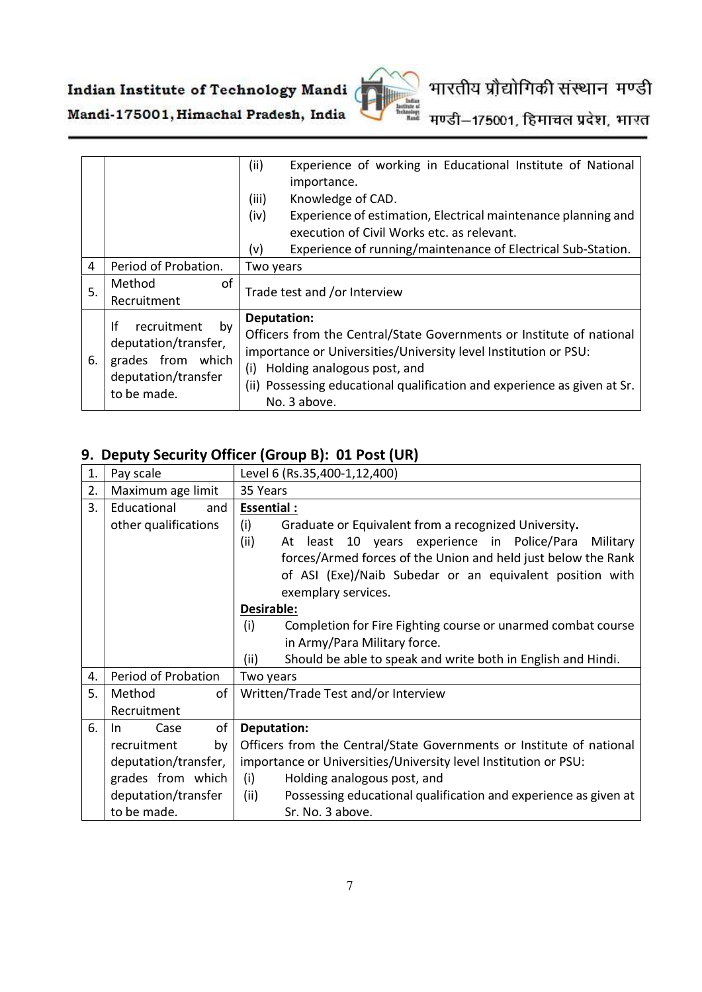

# भारतीय प्रौद्योगिकी संस्थान मण्डी

मण्डी–175001, हिमाचल प्रदेश, भारत

|    |                                                                                                            | (ii)<br>Experience of working in Educational Institute of National<br>importance.                                                                                                                                                                                                        |
|----|------------------------------------------------------------------------------------------------------------|------------------------------------------------------------------------------------------------------------------------------------------------------------------------------------------------------------------------------------------------------------------------------------------|
|    |                                                                                                            | Knowledge of CAD.<br>(iii)                                                                                                                                                                                                                                                               |
|    |                                                                                                            | (iv)<br>Experience of estimation, Electrical maintenance planning and                                                                                                                                                                                                                    |
|    |                                                                                                            | execution of Civil Works etc. as relevant.                                                                                                                                                                                                                                               |
|    |                                                                                                            | Experience of running/maintenance of Electrical Sub-Station.<br>(v)                                                                                                                                                                                                                      |
| 4  | Period of Probation.                                                                                       | Two years                                                                                                                                                                                                                                                                                |
| 5. | Method<br>οf<br>Recruitment                                                                                | Trade test and /or Interview                                                                                                                                                                                                                                                             |
| 6. | Ιf<br>recruitment<br>by<br>deputation/transfer,<br>grades from which<br>deputation/transfer<br>to be made. | Deputation:<br>Officers from the Central/State Governments or Institute of national<br>importance or Universities/University level Institution or PSU:<br>Holding analogous post, and<br>(i)<br>(ii) Possessing educational qualification and experience as given at Sr.<br>No. 3 above. |

### 9. Deputy Security Officer (Group B): 01 Post (UR)

| 1. | Pay scale            | Level 6 (Rs.35,400-1,12,400)                                            |
|----|----------------------|-------------------------------------------------------------------------|
| 2. | Maximum age limit    | 35 Years                                                                |
| 3. | Educational<br>and   | <b>Essential:</b>                                                       |
|    | other qualifications | (i)<br>Graduate or Equivalent from a recognized University.             |
|    |                      | (ii)<br>At least 10 years experience in Police/Para<br>Military         |
|    |                      | forces/Armed forces of the Union and held just below the Rank           |
|    |                      | of ASI (Exe)/Naib Subedar or an equivalent position with                |
|    |                      | exemplary services.                                                     |
|    |                      | Desirable:                                                              |
|    |                      | (i)<br>Completion for Fire Fighting course or unarmed combat course     |
|    |                      | in Army/Para Military force.                                            |
|    |                      | (ii)<br>Should be able to speak and write both in English and Hindi.    |
| 4. | Period of Probation  | Two years                                                               |
| 5. | of<br>Method         | Written/Trade Test and/or Interview                                     |
|    | Recruitment          |                                                                         |
| 6. | of<br>Case<br>-In    | <b>Deputation:</b>                                                      |
|    | recruitment<br>by    | Officers from the Central/State Governments or Institute of national    |
|    | deputation/transfer, | importance or Universities/University level Institution or PSU:         |
|    | grades from which    | (i)<br>Holding analogous post, and                                      |
|    | deputation/transfer  | (ii)<br>Possessing educational qualification and experience as given at |
|    | to be made.          | Sr. No. 3 above.                                                        |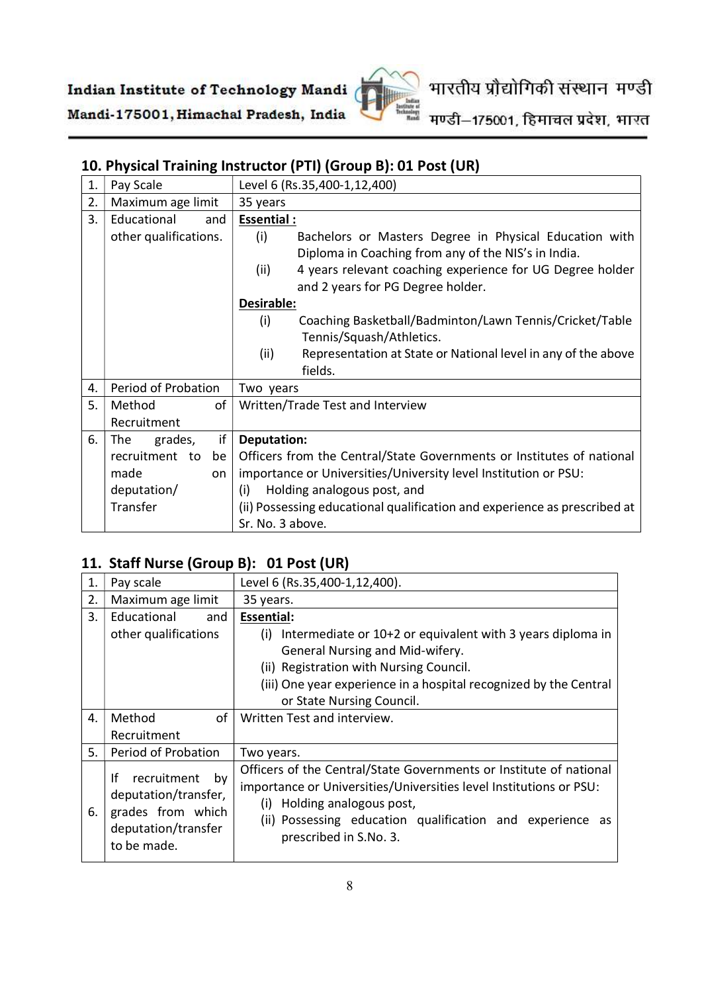

मण्डी–175001, हिमाचल प्रदेश, भारत

# 10. Physical Training Instructor (PTI) (Group B): 01 Post (UR)

| 1. | Pay Scale             | Level 6 (Rs.35,400-1,12,400)                                                                                         |
|----|-----------------------|----------------------------------------------------------------------------------------------------------------------|
| 2. | Maximum age limit     | 35 years                                                                                                             |
| 3. | Educational<br>and    | <b>Essential:</b>                                                                                                    |
|    | other qualifications. | (i)<br>Bachelors or Masters Degree in Physical Education with<br>Diploma in Coaching from any of the NIS's in India. |
|    |                       | (ii)<br>4 years relevant coaching experience for UG Degree holder<br>and 2 years for PG Degree holder.               |
|    |                       | Desirable:                                                                                                           |
|    |                       | (i)<br>Coaching Basketball/Badminton/Lawn Tennis/Cricket/Table<br>Tennis/Squash/Athletics.                           |
|    |                       | (ii)<br>Representation at State or National level in any of the above<br>fields.                                     |
| 4. | Period of Probation   | Two years                                                                                                            |
| 5. | оf<br>Method          | Written/Trade Test and Interview                                                                                     |
|    | Recruitment           |                                                                                                                      |
| 6. | if<br>grades,<br>The  | <b>Deputation:</b>                                                                                                   |
|    | recruitment to<br>be  | Officers from the Central/State Governments or Institutes of national                                                |
|    | made<br>on            | importance or Universities/University level Institution or PSU:                                                      |
|    | deputation/           | Holding analogous post, and<br>(i)                                                                                   |
|    | Transfer              | (ii) Possessing educational qualification and experience as prescribed at                                            |
|    |                       | Sr. No. 3 above.                                                                                                     |

### 11. Staff Nurse (Group B): 01 Post (UR)

| 1. | Pay scale                                                                                                  | Level 6 (Rs.35,400-1,12,400).                                                                                                                                                                                                                                     |
|----|------------------------------------------------------------------------------------------------------------|-------------------------------------------------------------------------------------------------------------------------------------------------------------------------------------------------------------------------------------------------------------------|
| 2. | Maximum age limit                                                                                          | 35 years.                                                                                                                                                                                                                                                         |
| 3. | Educational<br>and                                                                                         | <b>Essential:</b>                                                                                                                                                                                                                                                 |
|    | other qualifications                                                                                       | Intermediate or 10+2 or equivalent with 3 years diploma in<br>(i)                                                                                                                                                                                                 |
|    |                                                                                                            | General Nursing and Mid-wifery.                                                                                                                                                                                                                                   |
|    |                                                                                                            | (ii) Registration with Nursing Council.                                                                                                                                                                                                                           |
|    |                                                                                                            | (iii) One year experience in a hospital recognized by the Central                                                                                                                                                                                                 |
|    |                                                                                                            | or State Nursing Council.                                                                                                                                                                                                                                         |
| 4. | of<br>Method                                                                                               | Written Test and interview.                                                                                                                                                                                                                                       |
|    | Recruitment                                                                                                |                                                                                                                                                                                                                                                                   |
| 5. | Period of Probation                                                                                        | Two years.                                                                                                                                                                                                                                                        |
| 6. | Ιf<br>recruitment<br>by<br>deputation/transfer,<br>grades from which<br>deputation/transfer<br>to be made. | Officers of the Central/State Governments or Institute of national<br>importance or Universities/Universities level Institutions or PSU:<br>Holding analogous post,<br>(i)<br>(ii) Possessing education qualification and experience as<br>prescribed in S.No. 3. |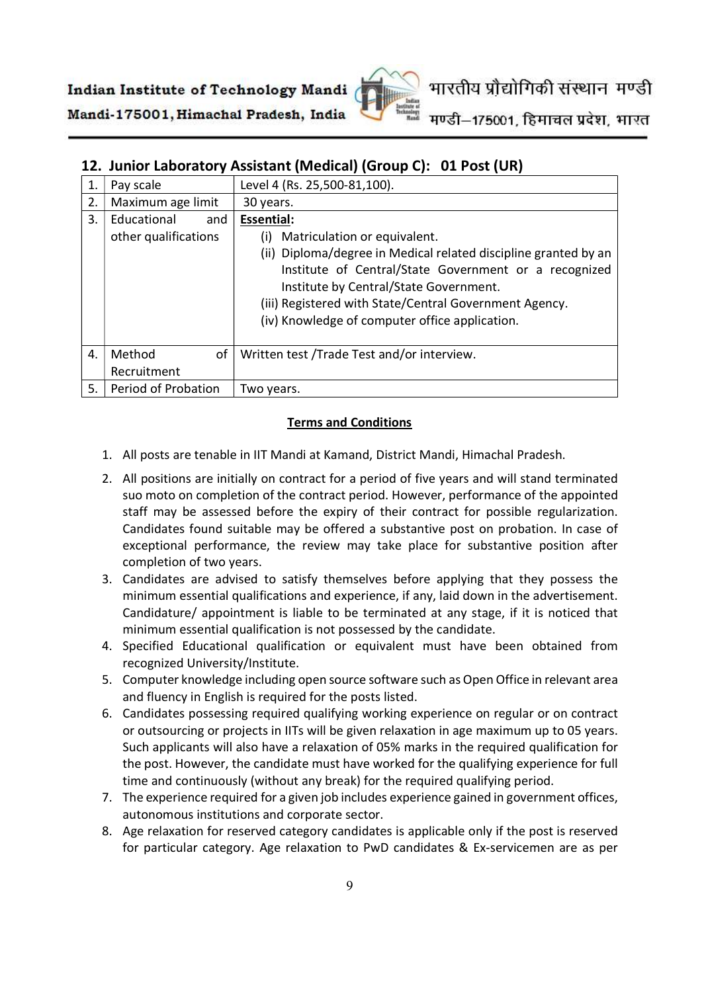

### 12. Junior Laboratory Assistant (Medical) (Group C): 01 Post (UR)

| 1. | Pay scale            | Level 4 (Rs. 25,500-81,100).                                    |
|----|----------------------|-----------------------------------------------------------------|
| 2. | Maximum age limit    | 30 years.                                                       |
| 3. | Educational<br>and   | <b>Essential:</b>                                               |
|    | other qualifications | Matriculation or equivalent.<br>(i)                             |
|    |                      | (ii) Diploma/degree in Medical related discipline granted by an |
|    |                      | Institute of Central/State Government or a recognized           |
|    |                      | Institute by Central/State Government.                          |
|    |                      | (iii) Registered with State/Central Government Agency.          |
|    |                      | (iv) Knowledge of computer office application.                  |
|    |                      |                                                                 |
| 4. | of<br>Method         | Written test /Trade Test and/or interview.                      |
|    | Recruitment          |                                                                 |
| 5. | Period of Probation  | Two years.                                                      |

#### Terms and Conditions

- 1. All posts are tenable in IIT Mandi at Kamand, District Mandi, Himachal Pradesh.
- 2. All positions are initially on contract for a period of five years and will stand terminated suo moto on completion of the contract period. However, performance of the appointed staff may be assessed before the expiry of their contract for possible regularization. Candidates found suitable may be offered a substantive post on probation. In case of exceptional performance, the review may take place for substantive position after completion of two years.
- 3. Candidates are advised to satisfy themselves before applying that they possess the minimum essential qualifications and experience, if any, laid down in the advertisement. Candidature/ appointment is liable to be terminated at any stage, if it is noticed that minimum essential qualification is not possessed by the candidate.
- 4. Specified Educational qualification or equivalent must have been obtained from recognized University/Institute.
- 5. Computer knowledge including open source software such as Open Office in relevant area and fluency in English is required for the posts listed.
- 6. Candidates possessing required qualifying working experience on regular or on contract or outsourcing or projects in IITs will be given relaxation in age maximum up to 05 years. Such applicants will also have a relaxation of 05% marks in the required qualification for the post. However, the candidate must have worked for the qualifying experience for full time and continuously (without any break) for the required qualifying period.
- 7. The experience required for a given job includes experience gained in government offices, autonomous institutions and corporate sector.
- 8. Age relaxation for reserved category candidates is applicable only if the post is reserved for particular category. Age relaxation to PwD candidates & Ex-servicemen are as per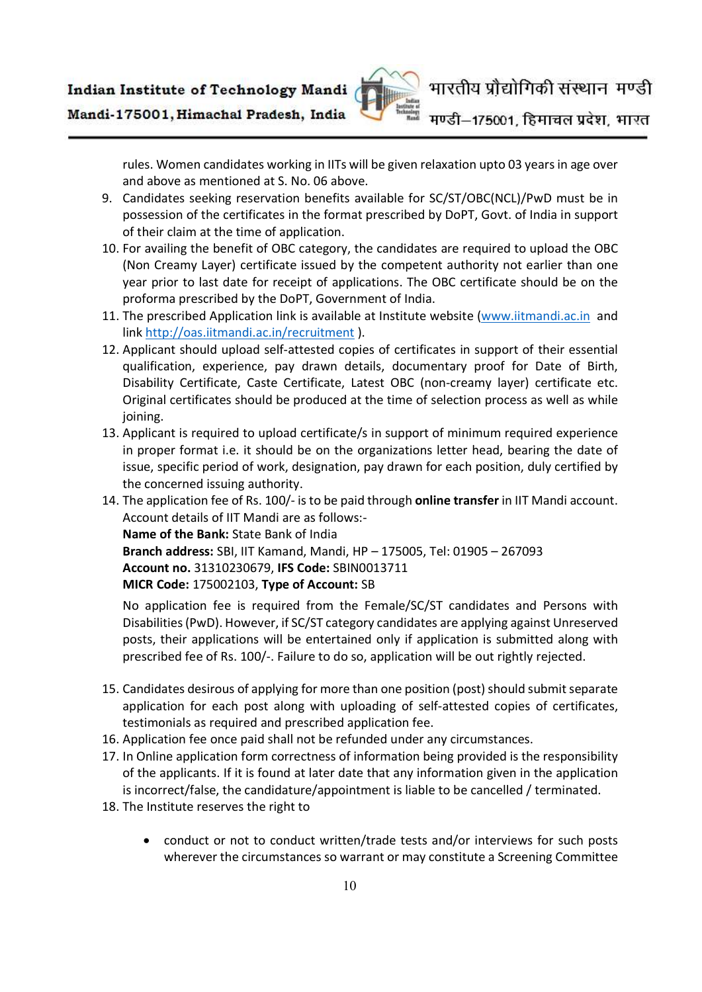

rules. Women candidates working in IITs will be given relaxation upto 03 years in age over and above as mentioned at S. No. 06 above.

- 9. Candidates seeking reservation benefits available for SC/ST/OBC(NCL)/PwD must be in possession of the certificates in the format prescribed by DoPT, Govt. of India in support of their claim at the time of application.
- 10. For availing the benefit of OBC category, the candidates are required to upload the OBC (Non Creamy Layer) certificate issued by the competent authority not earlier than one year prior to last date for receipt of applications. The OBC certificate should be on the proforma prescribed by the DoPT, Government of India.
- 11. The prescribed Application link is available at Institute website (www.iitmandi.ac.in and link http://oas.iitmandi.ac.in/recruitment ).
- 12. Applicant should upload self-attested copies of certificates in support of their essential qualification, experience, pay drawn details, documentary proof for Date of Birth, Disability Certificate, Caste Certificate, Latest OBC (non-creamy layer) certificate etc. Original certificates should be produced at the time of selection process as well as while joining.
- 13. Applicant is required to upload certificate/s in support of minimum required experience in proper format i.e. it should be on the organizations letter head, bearing the date of issue, specific period of work, designation, pay drawn for each position, duly certified by the concerned issuing authority.
- 14. The application fee of Rs. 100/- is to be paid through online transfer in IIT Mandi account. Account details of IIT Mandi are as follows:- Name of the Bank: State Bank of India Branch address: SBI, IIT Kamand, Mandi, HP – 175005, Tel: 01905 – 267093

Account no. 31310230679, IFS Code: SBIN0013711

MICR Code: 175002103, Type of Account: SB

No application fee is required from the Female/SC/ST candidates and Persons with Disabilities (PwD). However, if SC/ST category candidates are applying against Unreserved posts, their applications will be entertained only if application is submitted along with prescribed fee of Rs. 100/-. Failure to do so, application will be out rightly rejected.

- 15. Candidates desirous of applying for more than one position (post) should submit separate application for each post along with uploading of self-attested copies of certificates, testimonials as required and prescribed application fee.
- 16. Application fee once paid shall not be refunded under any circumstances.
- 17. In Online application form correctness of information being provided is the responsibility of the applicants. If it is found at later date that any information given in the application is incorrect/false, the candidature/appointment is liable to be cancelled / terminated.
- 18. The Institute reserves the right to
	- conduct or not to conduct written/trade tests and/or interviews for such posts wherever the circumstances so warrant or may constitute a Screening Committee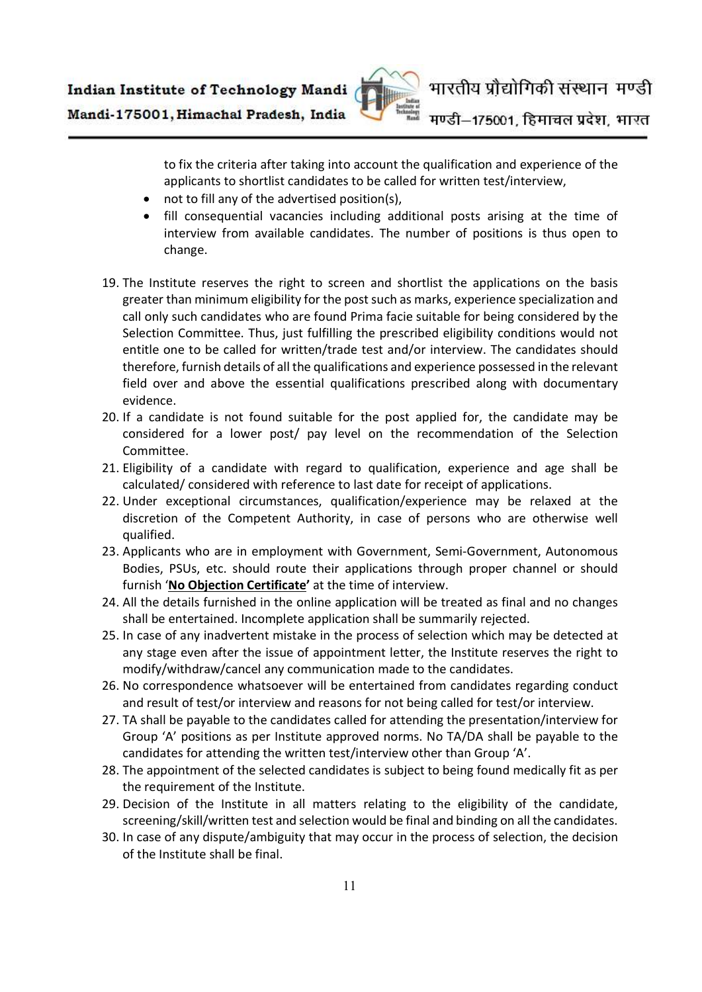

to fix the criteria after taking into account the qualification and experience of the applicants to shortlist candidates to be called for written test/interview,

- not to fill any of the advertised position(s),
- fill consequential vacancies including additional posts arising at the time of interview from available candidates. The number of positions is thus open to change.
- 19. The Institute reserves the right to screen and shortlist the applications on the basis greater than minimum eligibility for the post such as marks, experience specialization and call only such candidates who are found Prima facie suitable for being considered by the Selection Committee. Thus, just fulfilling the prescribed eligibility conditions would not entitle one to be called for written/trade test and/or interview. The candidates should therefore, furnish details of all the qualifications and experience possessed in the relevant field over and above the essential qualifications prescribed along with documentary evidence.
- 20. If a candidate is not found suitable for the post applied for, the candidate may be considered for a lower post/ pay level on the recommendation of the Selection Committee.
- 21. Eligibility of a candidate with regard to qualification, experience and age shall be calculated/ considered with reference to last date for receipt of applications.
- 22. Under exceptional circumstances, qualification/experience may be relaxed at the discretion of the Competent Authority, in case of persons who are otherwise well qualified.
- 23. Applicants who are in employment with Government, Semi-Government, Autonomous Bodies, PSUs, etc. should route their applications through proper channel or should furnish 'No Objection Certificate' at the time of interview.
- 24. All the details furnished in the online application will be treated as final and no changes shall be entertained. Incomplete application shall be summarily rejected.
- 25. In case of any inadvertent mistake in the process of selection which may be detected at any stage even after the issue of appointment letter, the Institute reserves the right to modify/withdraw/cancel any communication made to the candidates.
- 26. No correspondence whatsoever will be entertained from candidates regarding conduct and result of test/or interview and reasons for not being called for test/or interview.
- 27. TA shall be payable to the candidates called for attending the presentation/interview for Group 'A' positions as per Institute approved norms. No TA/DA shall be payable to the candidates for attending the written test/interview other than Group 'A'.
- 28. The appointment of the selected candidates is subject to being found medically fit as per the requirement of the Institute.
- 29. Decision of the Institute in all matters relating to the eligibility of the candidate, screening/skill/written test and selection would be final and binding on all the candidates.
- 30. In case of any dispute/ambiguity that may occur in the process of selection, the decision of the Institute shall be final.